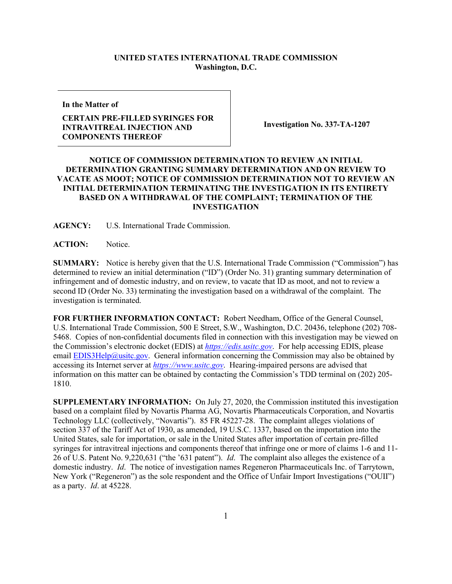## **UNITED STATES INTERNATIONAL TRADE COMMISSION Washington, D.C.**

**In the Matter of**

## **CERTAIN PRE-FILLED SYRINGES FOR INTRAVITREAL INJECTION AND COMPONENTS THEREOF**

**Investigation No. 337-TA-1207**

## **NOTICE OF COMMISSION DETERMINATION TO REVIEW AN INITIAL DETERMINATION GRANTING SUMMARY DETERMINATION AND ON REVIEW TO VACATE AS MOOT; NOTICE OF COMMISSION DETERMINATION NOT TO REVIEW AN INITIAL DETERMINATION TERMINATING THE INVESTIGATION IN ITS ENTIRETY BASED ON A WITHDRAWAL OF THE COMPLAINT; TERMINATION OF THE INVESTIGATION**

**AGENCY:** U.S. International Trade Commission.

ACTION: Notice.

**SUMMARY:** Notice is hereby given that the U.S. International Trade Commission ("Commission") has determined to review an initial determination ("ID") (Order No. 31) granting summary determination of infringement and of domestic industry, and on review, to vacate that ID as moot, and not to review a second ID (Order No. 33) terminating the investigation based on a withdrawal of the complaint. The investigation is terminated.

**FOR FURTHER INFORMATION CONTACT:** Robert Needham, Office of the General Counsel, U.S. International Trade Commission, 500 E Street, S.W., Washington, D.C. 20436, telephone (202) 708- 5468. Copies of non-confidential documents filed in connection with this investigation may be viewed on the Commission's electronic docket (EDIS) at *[https://edis.usitc.gov](https://edis.usitc.gov/)*. For help accessing EDIS, please email [EDIS3Help@usitc.gov.](mailto:EDIS3Help@usitc.gov) General information concerning the Commission may also be obtained by accessing its Internet server at *[https://www.usitc.gov](https://www.usitc.gov/)*. Hearing-impaired persons are advised that information on this matter can be obtained by contacting the Commission's TDD terminal on (202) 205- 1810.

**SUPPLEMENTARY INFORMATION:** On July 27, 2020, the Commission instituted this investigation based on a complaint filed by Novartis Pharma AG, Novartis Pharmaceuticals Corporation, and Novartis Technology LLC (collectively, "Novartis"). 85 FR 45227-28. The complaint alleges violations of section 337 of the Tariff Act of 1930, as amended, 19 U.S.C. 1337, based on the importation into the United States, sale for importation, or sale in the United States after importation of certain pre-filled syringes for intravitreal injections and components thereof that infringe one or more of claims 1-6 and 11- 26 of U.S. Patent No. 9,220,631 ("the '631 patent"). *Id*. The complaint also alleges the existence of a domestic industry. *Id*. The notice of investigation names Regeneron Pharmaceuticals Inc. of Tarrytown, New York ("Regeneron") as the sole respondent and the Office of Unfair Import Investigations ("OUII") as a party. *Id*. at 45228.